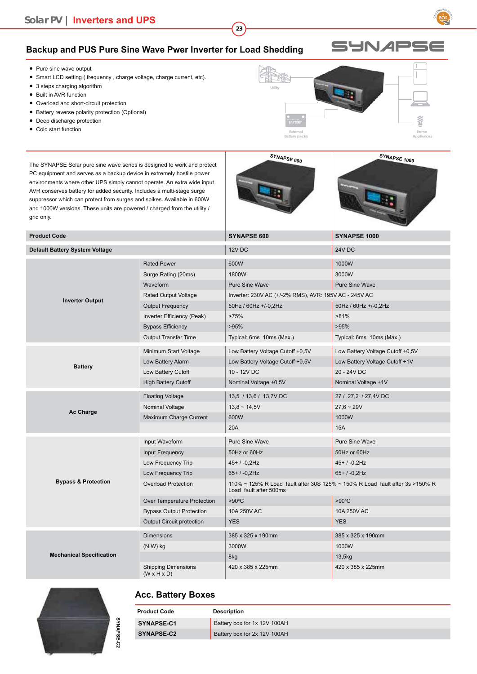### **Solar PV | Inverters and UPS**

#### **Backup and PUS Pure Sine Wave Pwer Inverter for Load Shedding**

- Pure sine wave output
- Smart LCD setting (frequency, charge voltage, charge current, etc).
- 3 steps charging algorithm
- Built in AVR function
- Overload and short-circuit protection
- Battery reverse polarity protection (Optional)
- Deep discharge protection
- Cold start function

The SYNAPSE Solar pure sine wave series is designed to work and protect PC equipment and serves as a backup device in extremely hostile power environments where other UPS simply cannot operate. An extra wide input AVR conserves battery for added security. Includes a multi-stage surge suppressor which can protect from surges and spikes. Available in 600W and 1000W versions. These units are powered / charged from the utility / grid only.



**External**

**Utility**

**23**



**Home Appliances**

| <b>Product Code</b>                   |                                  | SYNAPSE 600                                                                                             | SYNAPSE 1000                     |
|---------------------------------------|----------------------------------|---------------------------------------------------------------------------------------------------------|----------------------------------|
| <b>Default Battery System Voltage</b> |                                  | 12V DC                                                                                                  | <b>24V DC</b>                    |
|                                       | <b>Rated Power</b>               | 600W                                                                                                    | 1000W                            |
|                                       | Surge Rating (20ms)              | 1800W                                                                                                   | 3000W                            |
|                                       | Waveform                         | <b>Pure Sine Wave</b>                                                                                   | <b>Pure Sine Wave</b>            |
|                                       | Rated Output Voltage             | Inverter: 230V AC (+/-2% RMS), AVR: 195V AC - 245V AC                                                   |                                  |
| <b>Inverter Output</b>                | <b>Output Frequency</b>          | 50Hz / 60Hz +/-0,2Hz                                                                                    | 50Hz / 60Hz +/-0,2Hz             |
|                                       | Inverter Efficiency (Peak)       | >75%                                                                                                    | $>81\%$                          |
|                                       | <b>Bypass Efficiency</b>         | >95%                                                                                                    | >95%                             |
|                                       | <b>Output Transfer Time</b>      | Typical: 6ms 10ms (Max.)                                                                                | Typical: 6ms 10ms (Max.)         |
|                                       | Minimum Start Voltage            | Low Battery Voltage Cutoff +0,5V                                                                        | Low Battery Voltage Cutoff +0,5V |
| <b>Battery</b>                        | Low Battery Alarm                | Low Battery Voltage Cutoff +0,5V                                                                        | Low Battery Voltage Cutoff +1V   |
|                                       | Low Battery Cutoff               | 10 - 12V DC                                                                                             | 20 - 24V DC                      |
|                                       | <b>High Battery Cutoff</b>       | Nominal Voltage +0,5V                                                                                   | Nominal Voltage +1V              |
|                                       | <b>Floating Voltage</b>          | 13,5 / 13,6 / 13,7V DC                                                                                  | 27 / 27,2 / 27,4V DC             |
|                                       | Nominal Voltage                  | $13,8 \sim 14,5V$                                                                                       | $27,6 \sim 29V$                  |
| Ac Charge                             | Maximum Charge Current           | 600W                                                                                                    | 1000W                            |
|                                       |                                  | 20A                                                                                                     | 15A                              |
|                                       | Input Waveform                   | <b>Pure Sine Wave</b>                                                                                   | <b>Pure Sine Wave</b>            |
|                                       | Input Frequency                  | 50Hz or 60Hz                                                                                            | 50Hz or 60Hz                     |
|                                       | Low Frequency Trip               | $45+/-0,2$ Hz                                                                                           | $45+/-0,2Hz$                     |
|                                       | Low Frequency Trip               | 65+/-0,2Hz                                                                                              | $65+ / -0.2$ Hz                  |
| <b>Bypass &amp; Protection</b>        | <b>Overload Protection</b>       | 110% ~ 125% R Load fault after 30S 125% ~ 150% R Load fault after 3s > 150% R<br>Load fault after 500ms |                                  |
|                                       | Over Temperature Protection      | $>90^{\circ}$ C                                                                                         | $>90^{\circ}$ C                  |
|                                       | <b>Bypass Output Protection</b>  | 10A 250V AC                                                                                             | 10A 250V AC                      |
|                                       | <b>Output Circuit protection</b> | <b>YES</b>                                                                                              | <b>YES</b>                       |
|                                       | <b>Dimensions</b>                | 385 x 325 x 190mm                                                                                       | 385 x 325 x 190mm                |
|                                       | $(N.W)$ kg                       | 3000W                                                                                                   | 1000W                            |
| <b>Mechanical Specification</b>       |                                  | 8kg                                                                                                     | 13,5kg                           |
|                                       | <b>Shipping Dimensions</b>       | 420 x 385 x 225mm                                                                                       | 420 x 385 x 225mm                |

# SYNAPSE-C2 **SYNAPSE-C2**

#### **Acc. Battery Boxes**

 $(W \times H \times D)$ 

| <b>Product Code</b> | <b>Description</b>           |
|---------------------|------------------------------|
| SYNAPSE-C1          | Battery box for 1x 12V 100AH |
| SYNAPSE-C2          | Battery box for 2x 12V 100AH |

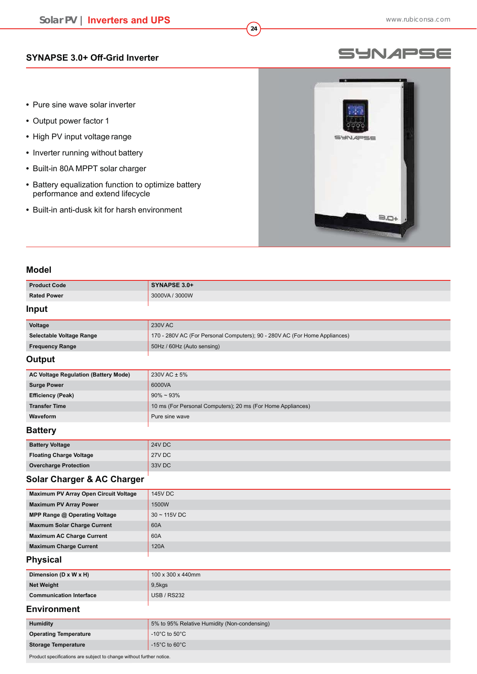### **SYNAPSE 3.0+ Off-Grid Inverter**

- Pure sine wave solar inverter
- Output power factor 1
- High PV input voltage range
- **•** Inverter running without battery
- Built-in 80A MPPT solar charger
- Battery equalization function to optimize battery performance and extend lifecycle
- Built-in anti-dusk kit for harsh environment

#### Product Code **SYNAPSE 3.0+ Rated Power** 2000 **Rated Power** 9 : 2000 **Rated Power**

#### **Input**

**Model**

| Voltage                  | 230V AC                                                                    |
|--------------------------|----------------------------------------------------------------------------|
| Selectable Voltage Range | 170 - 280V AC (For Personal Computers); 90 - 280V AC (For Home Appliances) |
| <b>Frequency Range</b>   | 50Hz / 60Hz (Auto sensing)                                                 |
| .                        |                                                                            |

**24**

#### **Output**

| <b>AC Voltage Regulation (Battery Mode)</b>           | $230V$ AC $\pm$ 5%                                          |  |
|-------------------------------------------------------|-------------------------------------------------------------|--|
| <b>Surge Power</b>                                    | 6000VA                                                      |  |
| <b>Efficiency (Peak)</b>                              | $90\% \sim 93\%$                                            |  |
| <b>Transfer Time</b>                                  | 10 ms (For Personal Computers); 20 ms (For Home Appliances) |  |
| Waveform                                              | Pure sine wave                                              |  |
| $D0$ <sup>++<math>\sim</math><math>\sim</math>.</sup> |                                                             |  |

#### **Battery**

| <b>Battery Voltage</b>         | <b>24V DC</b> |
|--------------------------------|---------------|
| <b>Floating Charge Voltage</b> | 27V DC        |
| <b>Overcharge Protection</b>   | 33V DC        |
|                                |               |

#### **Solar Charger & AC Charger**

| Maximum PV Array Open Circuit Voltage | <b>145V DC</b>    |
|---------------------------------------|-------------------|
| <b>Maximum PV Array Power</b>         | 1500W             |
| MPP Range @ Operating Voltage         | $30 \sim 115V$ DC |
| <b>Maxmum Solar Charge Current</b>    | 60A               |
| <b>Maximum AC Charge Current</b>      | 60A               |
| <b>Maximum Charge Current</b>         | 120A              |
|                                       |                   |

#### **Physical**

| Dimension (D $\times$ W $\times$ H) | 100 x 300 x 440mm  |
|-------------------------------------|--------------------|
| <b>Net Weight</b>                   | $9,5$ kgs          |
| <b>Communication Interface</b>      | <b>USB / RS232</b> |

#### **Environment**

| <b>Humidity</b>              | 5% to 95% Relative Humidity (Non-condensing) |
|------------------------------|----------------------------------------------|
| <b>Operating Temperature</b> | -10°C to 50°C                                |
| <b>Storage Temperature</b>   | -15 $^{\circ}$ C to 60 $^{\circ}$ C          |

Product specifications are subject to change without further notice.

## **Solar PV | Inverters and UPS**



SYNAPSE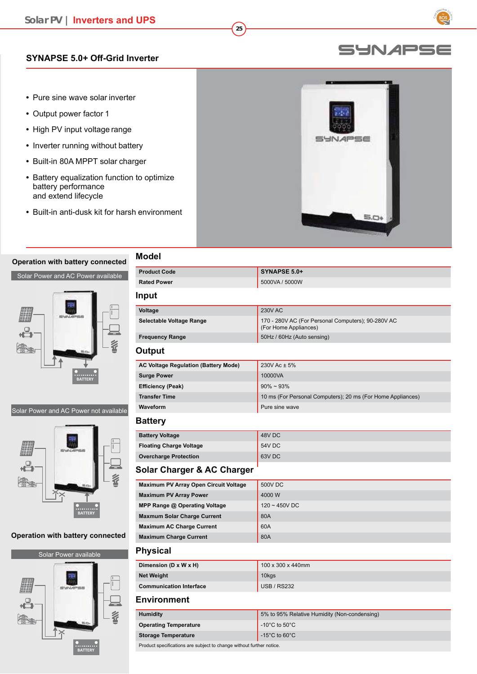#### **SYNAPSE 5.0+ Off-Grid Inverter**

- Pure sine wave solar inverter
- Output power factor 1
- High PV input voltage range
- **•** Inverter running without battery
- Built-in 80A MPPT solar charger
- Battery equalization function to optimize battery performance and extend lifecycle
- Built-in anti-dusk kit for harsh environment

#### **Operation with battery connected**

Solar Power and AC Power available



#### Solar Power and AC Power not available



#### **Operation with battery connected**



| <b>Model</b>                                |                                                                             |  |
|---------------------------------------------|-----------------------------------------------------------------------------|--|
| <b>Product Code</b>                         | SYNAPSE 5.0+                                                                |  |
| <b>Rated Power</b>                          | 5000VA / 5000W                                                              |  |
| Input                                       |                                                                             |  |
| Voltage                                     | <b>230V AC</b>                                                              |  |
| Selectable Voltage Range                    | 170 - 280V AC (For Personal Computers); 90-280V AC<br>(For Home Appliances) |  |
| <b>Frequency Range</b>                      | 50Hz / 60Hz (Auto sensing)                                                  |  |
| Output                                      |                                                                             |  |
| <b>AC Voltage Regulation (Battery Mode)</b> | 230V Ac ± 5%                                                                |  |
| <b>Surge Power</b>                          | 10000VA                                                                     |  |
| <b>Efficiency (Peak)</b>                    | $90\% \sim 93\%$                                                            |  |
| <b>Transfer Time</b>                        | 10 ms (For Personal Computers); 20 ms (For Home Appliances)                 |  |
| Waveform                                    | Pure sine wave                                                              |  |
| <b>Battery</b>                              |                                                                             |  |
| <b>Battery Voltage</b>                      | 48V DC                                                                      |  |
| <b>Floating Charge Voltage</b>              | <b>54V DC</b>                                                               |  |
| <b>Overcharge Protection</b>                | 63V <sub>DC</sub>                                                           |  |
| <b>Solar Charger &amp; AC Charger</b>       |                                                                             |  |
| Maximum PV Array Open Circuit Voltage       | <b>500V DC</b>                                                              |  |
| <b>Maximum PV Array Power</b>               | 4000 W                                                                      |  |
| MPP Range @ Operating Voltage               | 120~450VDC                                                                  |  |
| <b>Maxmum Solar Charge Current</b>          | 80A                                                                         |  |
| <b>Maximum AC Charge Current</b>            | 60A                                                                         |  |
| <b>Maximum Charge Current</b>               | 80A                                                                         |  |
| <b>Physical</b>                             |                                                                             |  |
| Dimension (D x W x H)                       | 100 x 300 x 440mm                                                           |  |
| <b>Net Weight</b>                           | 10kgs                                                                       |  |
| <b>Communication Interface</b>              | <b>USB / RS232</b>                                                          |  |
| <b>Environment</b>                          |                                                                             |  |
| <b>Humidity</b>                             | 5% to 95% Relative Humidity (Non-condensing)                                |  |
| <b>Operating Temperature</b>                | -10 $^{\circ}$ C to 50 $^{\circ}$ C                                         |  |
| <b>Storage Temperature</b>                  | -15 $^{\circ}$ C to 60 $^{\circ}$ C                                         |  |

**25**

#### Product specifications are subject to change without further notice.

### SYNAPSE